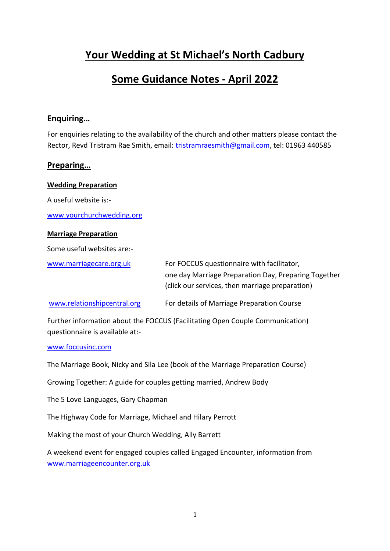# **Your Wedding at St Michael's North Cadbury**

# **Some Guidance Notes - April 2022**

## **Enquiring…**

For enquiries relating to the availability of the church and other matters please contact the Rector, Revd Tristram Rae Smith, email: [tristramraesmith@gmail.com,](mailto:tristramraesmith@gmail.com) tel: 01963 440585

## **Preparing…**

**Wedding Preparation** A useful website is: [www.yourchurchwedding.org](http://www.yourchurchwedding.org/)

## **Marriage Preparation**

Some useful websites are:-

[www.marriagecare.org.uk](http://www.marriagecare.org.uk/) For FOCCUS questionnaire with facilitator,

one day Marriage Preparation Day, Preparing Together (click our services, then marriage preparation)

[www.relationshipcentral.org](http://www.relationshipcentral.org/) For details of Marriage Preparation Course

Further information about the FOCCUS (Facilitating Open Couple Communication) questionnaire is available at:-

## [www.foccusinc.com](http://www.foccusinc.com/)

The Marriage Book, Nicky and Sila Lee (book of the Marriage Preparation Course)

Growing Together: A guide for couples getting married, Andrew Body

The 5 Love Languages, Gary Chapman

The Highway Code for Marriage, Michael and Hilary Perrott

Making the most of your Church Wedding, Ally Barrett

A weekend event for engaged couples called Engaged Encounter, information from [www.marriageencounter.org.uk](http://www.marriageencounter.org.uk/)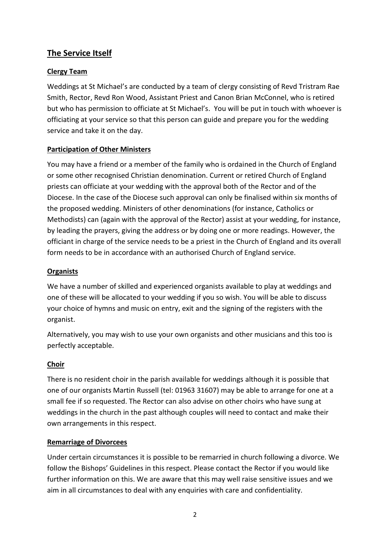## **The Service Itself**

## **Clergy Team**

Weddings at St Michael's are conducted by a team of clergy consisting of Revd Tristram Rae Smith, Rector, Revd Ron Wood, Assistant Priest and Canon Brian McConnel, who is retired but who has permission to officiate at St Michael's. You will be put in touch with whoever is officiating at your service so that this person can guide and prepare you for the wedding service and take it on the day.

## **Participation of Other Ministers**

You may have a friend or a member of the family who is ordained in the Church of England or some other recognised Christian denomination. Current or retired Church of England priests can officiate at your wedding with the approval both of the Rector and of the Diocese. In the case of the Diocese such approval can only be finalised within six months of the proposed wedding. Ministers of other denominations (for instance, Catholics or Methodists) can (again with the approval of the Rector) assist at your wedding, for instance, by leading the prayers, giving the address or by doing one or more readings. However, the officiant in charge of the service needs to be a priest in the Church of England and its overall form needs to be in accordance with an authorised Church of England service.

## **Organists**

We have a number of skilled and experienced organists available to play at weddings and one of these will be allocated to your wedding if you so wish. You will be able to discuss your choice of hymns and music on entry, exit and the signing of the registers with the organist.

Alternatively, you may wish to use your own organists and other musicians and this too is perfectly acceptable.

## **Choir**

There is no resident choir in the parish available for weddings although it is possible that one of our organists Martin Russell (tel: 01963 31607) may be able to arrange for one at a small fee if so requested. The Rector can also advise on other choirs who have sung at weddings in the church in the past although couples will need to contact and make their own arrangements in this respect.

## **Remarriage of Divorcees**

Under certain circumstances it is possible to be remarried in church following a divorce. We follow the Bishops' Guidelines in this respect. Please contact the Rector if you would like further information on this. We are aware that this may well raise sensitive issues and we aim in all circumstances to deal with any enquiries with care and confidentiality.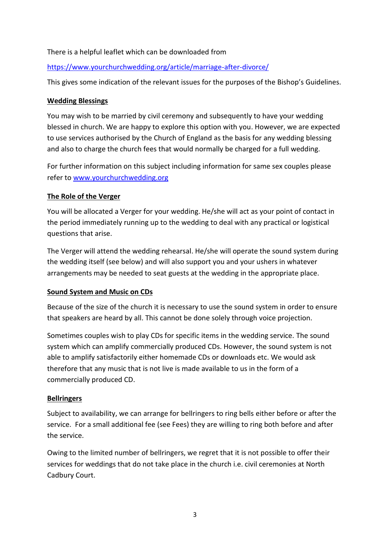## There is a helpful leaflet which can be downloaded from

## <https://www.yourchurchwedding.org/article/marriage-after-divorce/>

This gives some indication of the relevant issues for the purposes of the Bishop's Guidelines.

#### **Wedding Blessings**

You may wish to be married by civil ceremony and subsequently to have your wedding blessed in church. We are happy to explore this option with you. However, we are expected to use services authorised by the Church of England as the basis for any wedding blessing and also to charge the church fees that would normally be charged for a full wedding.

For further information on this subject including information for same sex couples please refer to [www.yourchurchwedding.org](http://www.yourchurchwedding.org/)

## **The Role of the Verger**

You will be allocated a Verger for your wedding. He/she will act as your point of contact in the period immediately running up to the wedding to deal with any practical or logistical questions that arise.

The Verger will attend the wedding rehearsal. He/she will operate the sound system during the wedding itself (see below) and will also support you and your ushers in whatever arrangements may be needed to seat guests at the wedding in the appropriate place.

## **Sound System and Music on CDs**

Because of the size of the church it is necessary to use the sound system in order to ensure that speakers are heard by all. This cannot be done solely through voice projection.

Sometimes couples wish to play CDs for specific items in the wedding service. The sound system which can amplify commercially produced CDs. However, the sound system is not able to amplify satisfactorily either homemade CDs or downloads etc. We would ask therefore that any music that is not live is made available to us in the form of a commercially produced CD.

## **Bellringers**

Subject to availability, we can arrange for bellringers to ring bells either before or after the service. For a small additional fee (see Fees) they are willing to ring both before and after the service.

Owing to the limited number of bellringers, we regret that it is not possible to offer their services for weddings that do not take place in the church i.e. civil ceremonies at North Cadbury Court.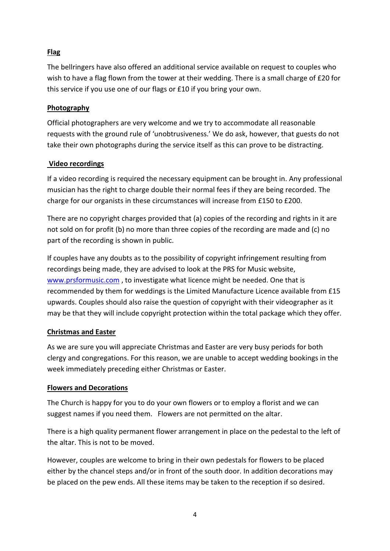## **Flag**

The bellringers have also offered an additional service available on request to couples who wish to have a flag flown from the tower at their wedding. There is a small charge of £20 for this service if you use one of our flags or £10 if you bring your own.

## **Photography**

Official photographers are very welcome and we try to accommodate all reasonable requests with the ground rule of 'unobtrusiveness.' We do ask, however, that guests do not take their own photographs during the service itself as this can prove to be distracting.

## **Video recordings**

If a video recording is required the necessary equipment can be brought in. Any professional musician has the right to charge double their normal fees if they are being recorded. The charge for our organists in these circumstances will increase from £150 to £200.

There are no copyright charges provided that (a) copies of the recording and rights in it are not sold on for profit (b) no more than three copies of the recording are made and (c) no part of the recording is shown in public.

If couples have any doubts as to the possibility of copyright infringement resulting from recordings being made, they are advised to look at the PRS for Music website, [www.prsformusic.com](http://www.prsformusic.com/), to investigate what licence might be needed. One that is recommended by them for weddings is the Limited Manufacture Licence available from £15 upwards. Couples should also raise the question of copyright with their videographer as it may be that they will include copyright protection within the total package which they offer.

## **Christmas and Easter**

As we are sure you will appreciate Christmas and Easter are very busy periods for both clergy and congregations. For this reason, we are unable to accept wedding bookings in the week immediately preceding either Christmas or Easter.

## **Flowers and Decorations**

The Church is happy for you to do your own flowers or to employ a florist and we can suggest names if you need them. Flowers are not permitted on the altar.

There is a high quality permanent flower arrangement in place on the pedestal to the left of the altar. This is not to be moved.

However, couples are welcome to bring in their own pedestals for flowers to be placed either by the chancel steps and/or in front of the south door. In addition decorations may be placed on the pew ends. All these items may be taken to the reception if so desired.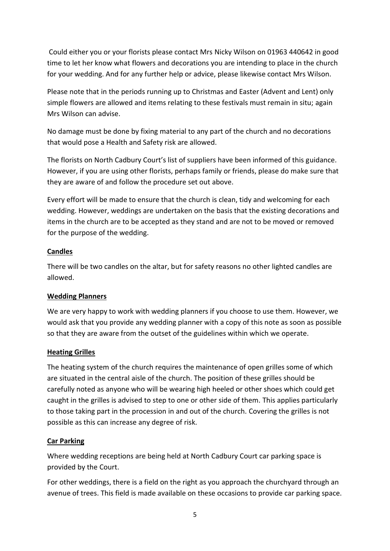Could either you or your florists please contact Mrs Nicky Wilson on 01963 440642 in good time to let her know what flowers and decorations you are intending to place in the church for your wedding. And for any further help or advice, please likewise contact Mrs Wilson.

Please note that in the periods running up to Christmas and Easter (Advent and Lent) only simple flowers are allowed and items relating to these festivals must remain in situ; again Mrs Wilson can advise.

No damage must be done by fixing material to any part of the church and no decorations that would pose a Health and Safety risk are allowed.

The florists on North Cadbury Court's list of suppliers have been informed of this guidance. However, if you are using other florists, perhaps family or friends, please do make sure that they are aware of and follow the procedure set out above.

Every effort will be made to ensure that the church is clean, tidy and welcoming for each wedding. However, weddings are undertaken on the basis that the existing decorations and items in the church are to be accepted as they stand and are not to be moved or removed for the purpose of the wedding.

## **Candles**

There will be two candles on the altar, but for safety reasons no other lighted candles are allowed.

## **Wedding Planners**

We are very happy to work with wedding planners if you choose to use them. However, we would ask that you provide any wedding planner with a copy of this note as soon as possible so that they are aware from the outset of the guidelines within which we operate.

## **Heating Grilles**

The heating system of the church requires the maintenance of open grilles some of which are situated in the central aisle of the church. The position of these grilles should be carefully noted as anyone who will be wearing high heeled or other shoes which could get caught in the grilles is advised to step to one or other side of them. This applies particularly to those taking part in the procession in and out of the church. Covering the grilles is not possible as this can increase any degree of risk.

## **Car Parking**

Where wedding receptions are being held at North Cadbury Court car parking space is provided by the Court.

For other weddings, there is a field on the right as you approach the churchyard through an avenue of trees. This field is made available on these occasions to provide car parking space.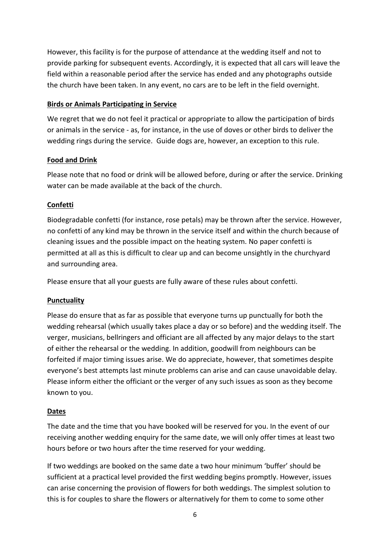However, this facility is for the purpose of attendance at the wedding itself and not to provide parking for subsequent events. Accordingly, it is expected that all cars will leave the field within a reasonable period after the service has ended and any photographs outside the church have been taken. In any event, no cars are to be left in the field overnight.

## **Birds or Animals Participating in Service**

We regret that we do not feel it practical or appropriate to allow the participation of birds or animals in the service - as, for instance, in the use of doves or other birds to deliver the wedding rings during the service. Guide dogs are, however, an exception to this rule.

## **Food and Drink**

Please note that no food or drink will be allowed before, during or after the service. Drinking water can be made available at the back of the church.

## **Confetti**

Biodegradable confetti (for instance, rose petals) may be thrown after the service. However, no confetti of any kind may be thrown in the service itself and within the church because of cleaning issues and the possible impact on the heating system. No paper confetti is permitted at all as this is difficult to clear up and can become unsightly in the churchyard and surrounding area.

Please ensure that all your guests are fully aware of these rules about confetti.

## **Punctuality**

Please do ensure that as far as possible that everyone turns up punctually for both the wedding rehearsal (which usually takes place a day or so before) and the wedding itself. The verger, musicians, bellringers and officiant are all affected by any major delays to the start of either the rehearsal or the wedding. In addition, goodwill from neighbours can be forfeited if major timing issues arise. We do appreciate, however, that sometimes despite everyone's best attempts last minute problems can arise and can cause unavoidable delay. Please inform either the officiant or the verger of any such issues as soon as they become known to you.

## **Dates**

The date and the time that you have booked will be reserved for you. In the event of our receiving another wedding enquiry for the same date, we will only offer times at least two hours before or two hours after the time reserved for your wedding.

If two weddings are booked on the same date a two hour minimum 'buffer' should be sufficient at a practical level provided the first wedding begins promptly. However, issues can arise concerning the provision of flowers for both weddings. The simplest solution to this is for couples to share the flowers or alternatively for them to come to some other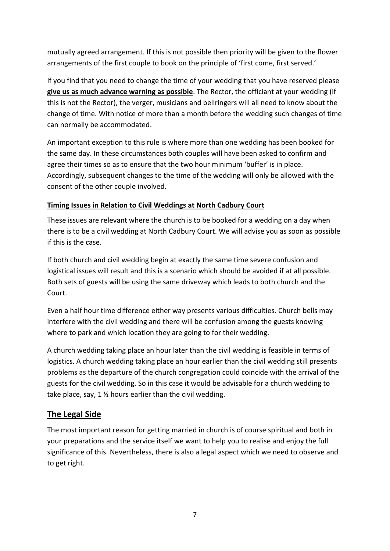mutually agreed arrangement. If this is not possible then priority will be given to the flower arrangements of the first couple to book on the principle of 'first come, first served.'

If you find that you need to change the time of your wedding that you have reserved please **give us as much advance warning as possible**. The Rector, the officiant at your wedding (if this is not the Rector), the verger, musicians and bellringers will all need to know about the change of time. With notice of more than a month before the wedding such changes of time can normally be accommodated.

An important exception to this rule is where more than one wedding has been booked for the same day. In these circumstances both couples will have been asked to confirm and agree their times so as to ensure that the two hour minimum 'buffer' is in place. Accordingly, subsequent changes to the time of the wedding will only be allowed with the consent of the other couple involved.

## **Timing Issues in Relation to Civil Weddings at North Cadbury Court**

These issues are relevant where the church is to be booked for a wedding on a day when there is to be a civil wedding at North Cadbury Court. We will advise you as soon as possible if this is the case.

If both church and civil wedding begin at exactly the same time severe confusion and logistical issues will result and this is a scenario which should be avoided if at all possible. Both sets of guests will be using the same driveway which leads to both church and the Court.

Even a half hour time difference either way presents various difficulties. Church bells may interfere with the civil wedding and there will be confusion among the guests knowing where to park and which location they are going to for their wedding.

A church wedding taking place an hour later than the civil wedding is feasible in terms of logistics. A church wedding taking place an hour earlier than the civil wedding still presents problems as the departure of the church congregation could coincide with the arrival of the guests for the civil wedding. So in this case it would be advisable for a church wedding to take place, say, 1 ½ hours earlier than the civil wedding.

## **The Legal Side**

The most important reason for getting married in church is of course spiritual and both in your preparations and the service itself we want to help you to realise and enjoy the full significance of this. Nevertheless, there is also a legal aspect which we need to observe and to get right.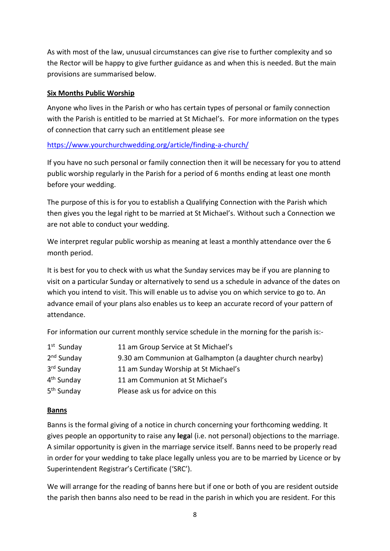As with most of the law, unusual circumstances can give rise to further complexity and so the Rector will be happy to give further guidance as and when this is needed. But the main provisions are summarised below.

## **Six Months Public Worship**

Anyone who lives in the Parish or who has certain types of personal or family connection with the Parish is entitled to be married at St Michael's. For more information on the types of connection that carry such an entitlement please see

<https://www.yourchurchwedding.org/article/finding-a-church/>

If you have no such personal or family connection then it will be necessary for you to attend public worship regularly in the Parish for a period of 6 months ending at least one month before your wedding.

The purpose of this is for you to establish a Qualifying Connection with the Parish which then gives you the legal right to be married at St Michael's. Without such a Connection we are not able to conduct your wedding.

We interpret regular public worship as meaning at least a monthly attendance over the 6 month period.

It is best for you to check with us what the Sunday services may be if you are planning to visit on a particular Sunday or alternatively to send us a schedule in advance of the dates on which you intend to visit. This will enable us to advise you on which service to go to. An advance email of your plans also enables us to keep an accurate record of your pattern of attendance.

For information our current monthly service schedule in the morning for the parish is:-

| $1st$ Sunday           | 11 am Group Service at St Michael's                        |
|------------------------|------------------------------------------------------------|
| 2 <sup>nd</sup> Sunday | 9.30 am Communion at Galhampton (a daughter church nearby) |
| 3 <sup>rd</sup> Sunday | 11 am Sunday Worship at St Michael's                       |
| 4 <sup>th</sup> Sunday | 11 am Communion at St Michael's                            |
| 5 <sup>th</sup> Sunday | Please ask us for advice on this                           |

## **Banns**

Banns is the formal giving of a notice in church concerning your forthcoming wedding. It gives people an opportunity to raise any **lega**l (i.e. not personal) objections to the marriage. A similar opportunity is given in the marriage service itself. Banns need to be properly read in order for your wedding to take place legally unless you are to be married by Licence or by Superintendent Registrar's Certificate ('SRC').

We will arrange for the reading of banns here but if one or both of you are resident outside the parish then banns also need to be read in the parish in which you are resident. For this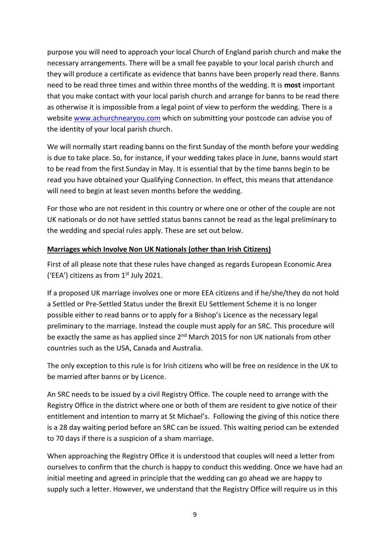purpose you will need to approach your local Church of England parish church and make the necessary arrangements. There will be a small fee payable to your local parish church and they will produce a certificate as evidence that banns have been properly read there. Banns need to be read three times and within three months of the wedding. It is **most** important that you make contact with your local parish church and arrange for banns to be read there as otherwise it is impossible from a legal point of view to perform the wedding. There is a website [www.achurchnearyou.com](http://www.achurchnearyou.com/) which on submitting your postcode can advise you of the identity of your local parish church.

We will normally start reading banns on the first Sunday of the month before your wedding is due to take place. So, for instance, if your wedding takes place in June, banns would start to be read from the first Sunday in May. It is essential that by the time banns begin to be read you have obtained your Qualifying Connection. In effect, this means that attendance will need to begin at least seven months before the wedding.

For those who are not resident in this country or where one or other of the couple are not UK nationals or do not have settled status banns cannot be read as the legal preliminary to the wedding and special rules apply. These are set out below.

## **Marriages which Involve Non UK Nationals (other than Irish Citizens)**

First of all please note that these rules have changed as regards European Economic Area ('EEA') citizens as from  $1<sup>st</sup>$  July 2021.

If a proposed UK marriage involves one or more EEA citizens and if he/she/they do not hold a Settled or Pre-Settled Status under the Brexit EU Settlement Scheme it is no longer possible either to read banns or to apply for a Bishop's Licence as the necessary legal preliminary to the marriage. Instead the couple must apply for an SRC. This procedure will be exactly the same as has applied since 2<sup>nd</sup> March 2015 for non UK nationals from other countries such as the USA, Canada and Australia.

The only exception to this rule is for Irish citizens who will be free on residence in the UK to be married after banns or by Licence.

An SRC needs to be issued by a civil Registry Office. The couple need to arrange with the Registry Office in the district where one or both of them are resident to give notice of their entitlement and intention to marry at St Michael's. Following the giving of this notice there is a 28 day waiting period before an SRC can be issued. This waiting period can be extended to 70 days if there is a suspicion of a sham marriage.

When approaching the Registry Office it is understood that couples will need a letter from ourselves to confirm that the church is happy to conduct this wedding. Once we have had an initial meeting and agreed in principle that the wedding can go ahead we are happy to supply such a letter. However, we understand that the Registry Office will require us in this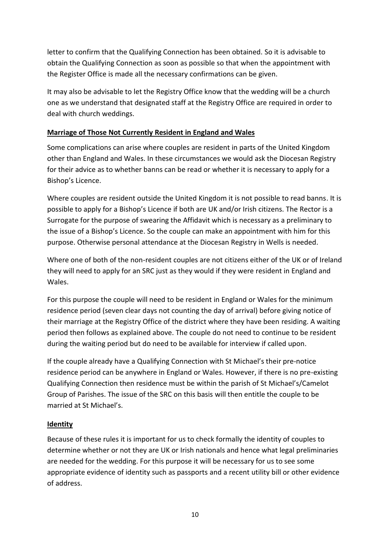letter to confirm that the Qualifying Connection has been obtained. So it is advisable to obtain the Qualifying Connection as soon as possible so that when the appointment with the Register Office is made all the necessary confirmations can be given.

It may also be advisable to let the Registry Office know that the wedding will be a church one as we understand that designated staff at the Registry Office are required in order to deal with church weddings.

## **Marriage of Those Not Currently Resident in England and Wales**

Some complications can arise where couples are resident in parts of the United Kingdom other than England and Wales. In these circumstances we would ask the Diocesan Registry for their advice as to whether banns can be read or whether it is necessary to apply for a Bishop's Licence.

Where couples are resident outside the United Kingdom it is not possible to read banns. It is possible to apply for a Bishop's Licence if both are UK and/or Irish citizens. The Rector is a Surrogate for the purpose of swearing the Affidavit which is necessary as a preliminary to the issue of a Bishop's Licence. So the couple can make an appointment with him for this purpose. Otherwise personal attendance at the Diocesan Registry in Wells is needed.

Where one of both of the non-resident couples are not citizens either of the UK or of Ireland they will need to apply for an SRC just as they would if they were resident in England and Wales.

For this purpose the couple will need to be resident in England or Wales for the minimum residence period (seven clear days not counting the day of arrival) before giving notice of their marriage at the Registry Office of the district where they have been residing. A waiting period then follows as explained above. The couple do not need to continue to be resident during the waiting period but do need to be available for interview if called upon.

If the couple already have a Qualifying Connection with St Michael's their pre-notice residence period can be anywhere in England or Wales. However, if there is no pre-existing Qualifying Connection then residence must be within the parish of St Michael's/Camelot Group of Parishes. The issue of the SRC on this basis will then entitle the couple to be married at St Michael's.

## **Identity**

Because of these rules it is important for us to check formally the identity of couples to determine whether or not they are UK or Irish nationals and hence what legal preliminaries are needed for the wedding. For this purpose it will be necessary for us to see some appropriate evidence of identity such as passports and a recent utility bill or other evidence of address.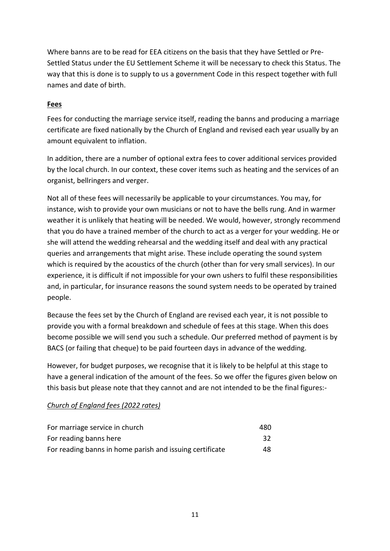Where banns are to be read for EEA citizens on the basis that they have Settled or Pre-Settled Status under the EU Settlement Scheme it will be necessary to check this Status. The way that this is done is to supply to us a government Code in this respect together with full names and date of birth.

## **Fees**

Fees for conducting the marriage service itself, reading the banns and producing a marriage certificate are fixed nationally by the Church of England and revised each year usually by an amount equivalent to inflation.

In addition, there are a number of optional extra fees to cover additional services provided by the local church. In our context, these cover items such as heating and the services of an organist, bellringers and verger.

Not all of these fees will necessarily be applicable to your circumstances. You may, for instance, wish to provide your own musicians or not to have the bells rung. And in warmer weather it is unlikely that heating will be needed. We would, however, strongly recommend that you do have a trained member of the church to act as a verger for your wedding. He or she will attend the wedding rehearsal and the wedding itself and deal with any practical queries and arrangements that might arise. These include operating the sound system which is required by the acoustics of the church (other than for very small services). In our experience, it is difficult if not impossible for your own ushers to fulfil these responsibilities and, in particular, for insurance reasons the sound system needs to be operated by trained people.

Because the fees set by the Church of England are revised each year, it is not possible to provide you with a formal breakdown and schedule of fees at this stage. When this does become possible we will send you such a schedule. Our preferred method of payment is by BACS (or failing that cheque) to be paid fourteen days in advance of the wedding.

However, for budget purposes, we recognise that it is likely to be helpful at this stage to have a general indication of the amount of the fees. So we offer the figures given below on this basis but please note that they cannot and are not intended to be the final figures:-

## *Church of England fees (2022 rates)*

| For marriage service in church                           | 480   |
|----------------------------------------------------------|-------|
| For reading banns here                                   | -32 · |
| For reading banns in home parish and issuing certificate | 48    |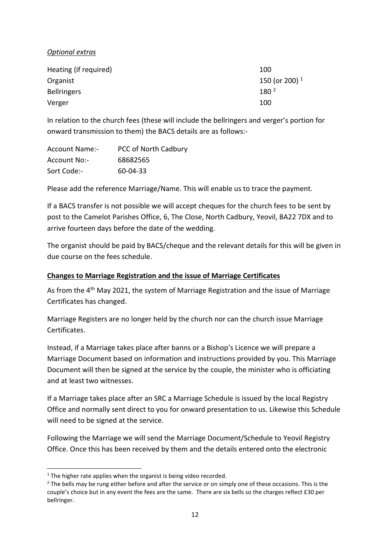## *Optional extras*

| Heating (if required) | 100                       |
|-----------------------|---------------------------|
| Organist              | 150 (or 200) <sup>1</sup> |
| <b>Bellringers</b>    | 180 <sup>2</sup>          |
| Verger                | 100                       |

In relation to the church fees (these will include the bellringers and verger's portion for onward transmission to them) the BACS details are as follows:-

| <b>Account Name:-</b> | PCC of North Cadbury |
|-----------------------|----------------------|
| Account No:-          | 68682565             |
| Sort Code:-           | 60-04-33             |

Please add the reference Marriage/Name. This will enable us to trace the payment.

If a BACS transfer is not possible we will accept cheques for the church fees to be sent by post to the Camelot Parishes Office, 6, The Close, North Cadbury, Yeovil, BA22 7DX and to arrive fourteen days before the date of the wedding.

The organist should be paid by BACS/cheque and the relevant details for this will be given in due course on the fees schedule.

## **Changes to Marriage Registration and the issue of Marriage Certificates**

As from the 4<sup>th</sup> May 2021, the system of Marriage Registration and the issue of Marriage Certificates has changed.

Marriage Registers are no longer held by the church nor can the church issue Marriage Certificates.

Instead, if a Marriage takes place after banns or a Bishop's Licence we will prepare a Marriage Document based on information and instructions provided by you. This Marriage Document will then be signed at the service by the couple, the minister who is officiating and at least two witnesses.

If a Marriage takes place after an SRC a Marriage Schedule is issued by the local Registry Office and normally sent direct to you for onward presentation to us. Likewise this Schedule will need to be signed at the service.

Following the Marriage we will send the Marriage Document/Schedule to Yeovil Registry Office. Once this has been received by them and the details entered onto the electronic

 $1$  The higher rate applies when the organist is being video recorded.

<sup>&</sup>lt;sup>2</sup> The bells may be rung either before and after the service or on simply one of these occasions. This is the couple's choice but in any event the fees are the same. There are six bells so the charges reflect £30 per bellringer.